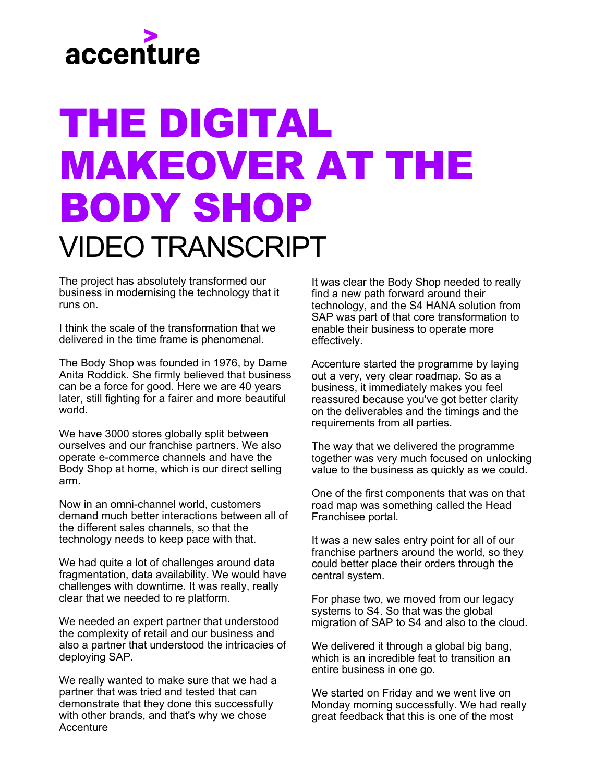

## THE DIGITAL MAKEOVER AT THE BODY SHOP VIDEO TRANSCRIPT

The project has absolutely transformed our business in modernising the technology that it runs on.

I think the scale of the transformation that we delivered in the time frame is phenomenal.

The Body Shop was founded in 1976, by Dame Anita Roddick. She firmly believed that business can be a force for good. Here we are 40 years later, still fighting for a fairer and more beautiful world.

We have 3000 stores globally split between ourselves and our franchise partners. We also operate e-commerce channels and have the Body Shop at home, which is our direct selling arm.

Now in an omni-channel world, customers demand much better interactions between all of the different sales channels, so that the technology needs to keep pace with that.

We had quite a lot of challenges around data fragmentation, data availability. We would have challenges with downtime. It was really, really clear that we needed to re platform.

We needed an expert partner that understood the complexity of retail and our business and also a partner that understood the intricacies of deploying SAP.

We really wanted to make sure that we had a partner that was tried and tested that can demonstrate that they done this successfully with other brands, and that's why we chose **Accenture** 

It was clear the Body Shop needed to really find a new path forward around their technology, and the S4 HANA solution from SAP was part of that core transformation to enable their business to operate more effectively.

Accenture started the programme by laying out a very, very clear roadmap. So as a business, it immediately makes you feel reassured because you've got better clarity on the deliverables and the timings and the requirements from all parties.

The way that we delivered the programme together was very much focused on unlocking value to the business as quickly as we could.

One of the first components that was on that road map was something called the Head Franchisee portal.

It was a new sales entry point for all of our franchise partners around the world, so they could better place their orders through the central system.

For phase two, we moved from our legacy systems to S4. So that was the global migration of SAP to S4 and also to the cloud.

We delivered it through a global big bang, which is an incredible feat to transition an entire business in one go.

We started on Friday and we went live on Monday morning successfully. We had really great feedback that this is one of the most